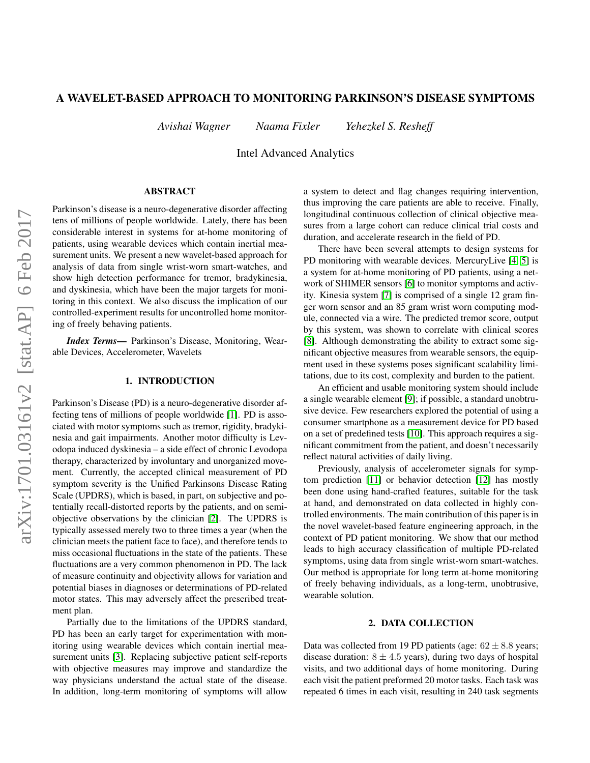# A WAVELET-BASED APPROACH TO MONITORING PARKINSON'S DISEASE SYMPTOMS

*Avishai Wagner Naama Fixler Yehezkel S. Resheff*

Intel Advanced Analytics

# ABSTRACT

Parkinson's disease is a neuro-degenerative disorder affecting tens of millions of people worldwide. Lately, there has been considerable interest in systems for at-home monitoring of patients, using wearable devices which contain inertial measurement units. We present a new wavelet-based approach for analysis of data from single wrist-worn smart-watches, and show high detection performance for tremor, bradykinesia, and dyskinesia, which have been the major targets for monitoring in this context. We also discuss the implication of our controlled-experiment results for uncontrolled home monitoring of freely behaving patients.

*Index Terms*— Parkinson's Disease, Monitoring, Wearable Devices, Accelerometer, Wavelets

## 1. INTRODUCTION

Parkinson's Disease (PD) is a neuro-degenerative disorder affecting tens of millions of people worldwide [\[1\]](#page-3-0). PD is associated with motor symptoms such as tremor, rigidity, bradykinesia and gait impairments. Another motor difficulty is Levodopa induced dyskinesia – a side effect of chronic Levodopa therapy, characterized by involuntary and unorganized movement. Currently, the accepted clinical measurement of PD symptom severity is the Unified Parkinsons Disease Rating Scale (UPDRS), which is based, in part, on subjective and potentially recall-distorted reports by the patients, and on semiobjective observations by the clinician [\[2\]](#page-4-0). The UPDRS is typically assessed merely two to three times a year (when the clinician meets the patient face to face), and therefore tends to miss occasional fluctuations in the state of the patients. These fluctuations are a very common phenomenon in PD. The lack of measure continuity and objectivity allows for variation and potential biases in diagnoses or determinations of PD-related motor states. This may adversely affect the prescribed treatment plan.

Partially due to the limitations of the UPDRS standard, PD has been an early target for experimentation with monitoring using wearable devices which contain inertial measurement units [\[3\]](#page-4-1). Replacing subjective patient self-reports with objective measures may improve and standardize the way physicians understand the actual state of the disease. In addition, long-term monitoring of symptoms will allow

a system to detect and flag changes requiring intervention, thus improving the care patients are able to receive. Finally, longitudinal continuous collection of clinical objective measures from a large cohort can reduce clinical trial costs and duration, and accelerate research in the field of PD.

There have been several attempts to design systems for PD monitoring with wearable devices. MercuryLive [\[4,](#page-4-2) [5\]](#page-4-3) is a system for at-home monitoring of PD patients, using a network of SHIMER sensors [\[6\]](#page-4-4) to monitor symptoms and activity. Kinesia system [\[7\]](#page-4-5) is comprised of a single 12 gram finger worn sensor and an 85 gram wrist worn computing module, connected via a wire. The predicted tremor score, output by this system, was shown to correlate with clinical scores [\[8\]](#page-4-6). Although demonstrating the ability to extract some significant objective measures from wearable sensors, the equipment used in these systems poses significant scalability limitations, due to its cost, complexity and burden to the patient.

An efficient and usable monitoring system should include a single wearable element [\[9\]](#page-4-7); if possible, a standard unobtrusive device. Few researchers explored the potential of using a consumer smartphone as a measurement device for PD based on a set of predefined tests [\[10\]](#page-4-8). This approach requires a significant commitment from the patient, and doesn't necessarily reflect natural activities of daily living.

Previously, analysis of accelerometer signals for symptom prediction [\[11\]](#page-4-9) or behavior detection [\[12\]](#page-4-10) has mostly been done using hand-crafted features, suitable for the task at hand, and demonstrated on data collected in highly controlled environments. The main contribution of this paper is in the novel wavelet-based feature engineering approach, in the context of PD patient monitoring. We show that our method leads to high accuracy classification of multiple PD-related symptoms, using data from single wrist-worn smart-watches. Our method is appropriate for long term at-home monitoring of freely behaving individuals, as a long-term, unobtrusive, wearable solution.

### 2. DATA COLLECTION

Data was collected from 19 PD patients (age:  $62 \pm 8.8$  years; disease duration:  $8 \pm 4.5$  years), during two days of hospital visits, and two additional days of home monitoring. During each visit the patient preformed 20 motor tasks. Each task was repeated 6 times in each visit, resulting in 240 task segments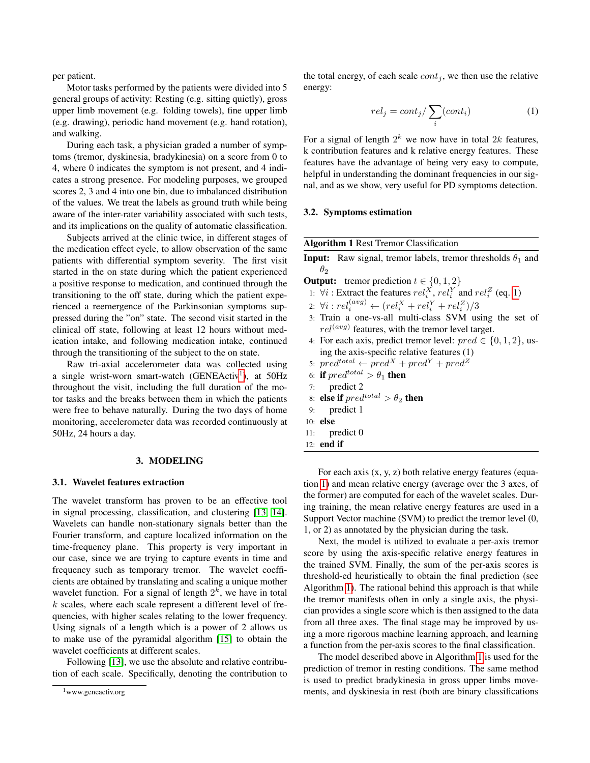per patient.

Motor tasks performed by the patients were divided into 5 general groups of activity: Resting (e.g. sitting quietly), gross upper limb movement (e.g. folding towels), fine upper limb (e.g. drawing), periodic hand movement (e.g. hand rotation), and walking.

During each task, a physician graded a number of symptoms (tremor, dyskinesia, bradykinesia) on a score from 0 to 4, where 0 indicates the symptom is not present, and 4 indicates a strong presence. For modeling purposes, we grouped scores 2, 3 and 4 into one bin, due to imbalanced distribution of the values. We treat the labels as ground truth while being aware of the inter-rater variability associated with such tests, and its implications on the quality of automatic classification.

Subjects arrived at the clinic twice, in different stages of the medication effect cycle, to allow observation of the same patients with differential symptom severity. The first visit started in the on state during which the patient experienced a positive response to medication, and continued through the transitioning to the off state, during which the patient experienced a reemergence of the Parkinsonian symptoms suppressed during the "on" state. The second visit started in the clinical off state, following at least 12 hours without medication intake, and following medication intake, continued through the transitioning of the subject to the on state.

Raw tri-axial accelerometer data was collected using a single wrist-worn smart-watch (GENEActiv<sup>[1](#page-1-0)</sup>), at 50Hz throughout the visit, including the full duration of the motor tasks and the breaks between them in which the patients were free to behave naturally. During the two days of home monitoring, accelerometer data was recorded continuously at 50Hz, 24 hours a day.

### 3. MODELING

#### <span id="page-1-3"></span>3.1. Wavelet features extraction

The wavelet transform has proven to be an effective tool in signal processing, classification, and clustering [\[13,](#page-4-11) [14\]](#page-4-12). Wavelets can handle non-stationary signals better than the Fourier transform, and capture localized information on the time-frequency plane. This property is very important in our case, since we are trying to capture events in time and frequency such as temporary tremor. The wavelet coefficients are obtained by translating and scaling a unique mother wavelet function. For a signal of length  $2^k$ , we have in total  $k$  scales, where each scale represent a different level of frequencies, with higher scales relating to the lower frequency. Using signals of a length which is a power of 2 allows us to make use of the pyramidal algorithm [\[15\]](#page-4-13) to obtain the wavelet coefficients at different scales.

Following [\[13\]](#page-4-11), we use the absolute and relative contribution of each scale. Specifically, denoting the contribution to the total energy, of each scale  $cont_i$ , we then use the relative energy:

<span id="page-1-1"></span>
$$
rel_j = cont_j / \sum_i (cont_i)
$$
 (1)

For a signal of length  $2^k$  we now have in total  $2k$  features, k contribution features and k relative energy features. These features have the advantage of being very easy to compute, helpful in understanding the dominant frequencies in our signal, and as we show, very useful for PD symptoms detection.

### 3.2. Symptoms estimation

# <span id="page-1-2"></span>Algorithm 1 Rest Tremor Classification

- **Input:** Raw signal, tremor labels, tremor thresholds  $\theta_1$  and  $\theta_2$
- **Output:** tremor prediction  $t \in \{0, 1, 2\}$ 
	- 1: ∀*i* : Extract the features  $rel_i^X$ ,  $rel_i^Y$  and  $rel_i^Z$  (eq. [1\)](#page-1-1)
- 2:  $\forall i : rel_i^{(avg)} \leftarrow (rel_i^X + rel_i^Y + rel_i^Z)/3$
- 3: Train a one-vs-all multi-class SVM using the set of  $rel(avg)$  features, with the tremor level target.
- 4: For each axis, predict tremor level:  $pred \in \{0, 1, 2\}$ , using the axis-specific relative features (1)
- 5:  $pred^{total} \leftarrow pred^{X} + pred^{Y} + pred^{Z}$
- 6: if  $pred^{total} > \theta_1$  then
- 7: predict 2
- 8: else if  $pred^{total} > \theta_2$  then
- 9: predict 1
- 10: else
- 11: predict 0
- 12: end if

For each axis (x, y, z) both relative energy features (equation [1\)](#page-1-1) and mean relative energy (average over the 3 axes, of the former) are computed for each of the wavelet scales. During training, the mean relative energy features are used in a Support Vector machine (SVM) to predict the tremor level (0, 1, or 2) as annotated by the physician during the task.

Next, the model is utilized to evaluate a per-axis tremor score by using the axis-specific relative energy features in the trained SVM. Finally, the sum of the per-axis scores is threshold-ed heuristically to obtain the final prediction (see Algorithm [1\)](#page-1-2). The rational behind this approach is that while the tremor manifests often in only a single axis, the physician provides a single score which is then assigned to the data from all three axes. The final stage may be improved by using a more rigorous machine learning approach, and learning a function from the per-axis scores to the final classification.

The model described above in Algorithm [1](#page-1-2) is used for the prediction of tremor in resting conditions. The same method is used to predict bradykinesia in gross upper limbs movements, and dyskinesia in rest (both are binary classifications

<span id="page-1-0"></span><sup>1</sup>www.geneactiv.org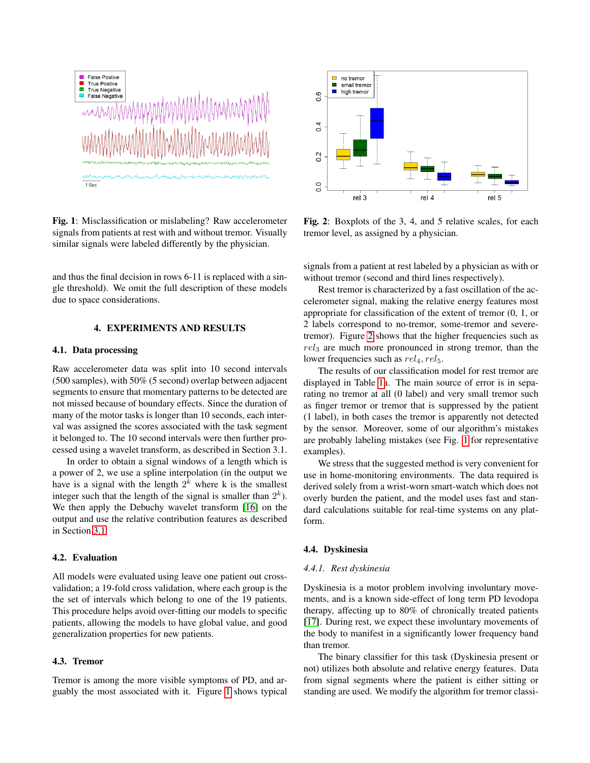<span id="page-2-0"></span>

Fig. 1: Misclassification or mislabeling? Raw accelerometer signals from patients at rest with and without tremor. Visually similar signals were labeled differently by the physician.

and thus the final decision in rows 6-11 is replaced with a single threshold). We omit the full description of these models due to space considerations.

# 4. EXPERIMENTS AND RESULTS

#### <span id="page-2-2"></span>4.1. Data processing

Raw accelerometer data was split into 10 second intervals (500 samples), with 50% (5 second) overlap between adjacent segments to ensure that momentary patterns to be detected are not missed because of boundary effects. Since the duration of many of the motor tasks is longer than 10 seconds, each interval was assigned the scores associated with the task segment it belonged to. The 10 second intervals were then further processed using a wavelet transform, as described in Section 3.1.

In order to obtain a signal windows of a length which is a power of 2, we use a spline interpolation (in the output we have is a signal with the length  $2^k$  where k is the smallest integer such that the length of the signal is smaller than  $2^k$ ). We then apply the Debuchy wavelet transform [\[16\]](#page-4-14) on the output and use the relative contribution features as described in Section [3.1.](#page-1-3)

### 4.2. Evaluation

All models were evaluated using leave one patient out crossvalidation; a 19-fold cross validation, where each group is the the set of intervals which belong to one of the 19 patients. This procedure helps avoid over-fitting our models to specific patients, allowing the models to have global value, and good generalization properties for new patients.

# 4.3. Tremor

Tremor is among the more visible symptoms of PD, and arguably the most associated with it. Figure [1](#page-2-0) shows typical

<span id="page-2-1"></span>

Fig. 2: Boxplots of the 3, 4, and 5 relative scales, for each tremor level, as assigned by a physician.

signals from a patient at rest labeled by a physician as with or without tremor (second and third lines respectively).

Rest tremor is characterized by a fast oscillation of the accelerometer signal, making the relative energy features most appropriate for classification of the extent of tremor (0, 1, or 2 labels correspond to no-tremor, some-tremor and severetremor). Figure [2](#page-2-1) shows that the higher frequencies such as  $rel_3$  are much more pronounced in strong tremor, than the lower frequencies such as  $rel_4, rel_5$ .

The results of our classification model for rest tremor are displayed in Table [1a](#page-3-1). The main source of error is in separating no tremor at all (0 label) and very small tremor such as finger tremor or tremor that is suppressed by the patient (1 label), in both cases the tremor is apparently not detected by the sensor. Moreover, some of our algorithm's mistakes are probably labeling mistakes (see Fig. [1](#page-2-0) for representative examples).

We stress that the suggested method is very convenient for use in home-monitoring environments. The data required is derived solely from a wrist-worn smart-watch which does not overly burden the patient, and the model uses fast and standard calculations suitable for real-time systems on any platform.

## 4.4. Dyskinesia

#### *4.4.1. Rest dyskinesia*

Dyskinesia is a motor problem involving involuntary movements, and is a known side-effect of long term PD levodopa therapy, affecting up to 80% of chronically treated patients [\[17\]](#page-4-15). During rest, we expect these involuntary movements of the body to manifest in a significantly lower frequency band than tremor.

The binary classifier for this task (Dyskinesia present or not) utilizes both absolute and relative energy features. Data from signal segments where the patient is either sitting or standing are used. We modify the algorithm for tremor classi-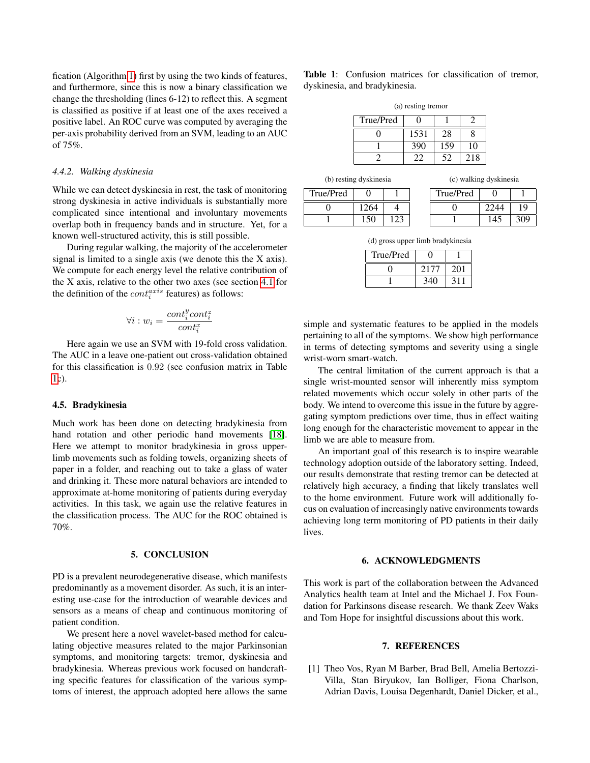fication (Algorithm [1\)](#page-1-2) first by using the two kinds of features, and furthermore, since this is now a binary classification we change the thresholding (lines 6-12) to reflect this. A segment is classified as positive if at least one of the axes received a positive label. An ROC curve was computed by averaging the per-axis probability derived from an SVM, leading to an AUC of 75%.

#### *4.4.2. Walking dyskinesia*

While we can detect dyskinesia in rest, the task of monitoring strong dyskinesia in active individuals is substantially more complicated since intentional and involuntary movements overlap both in frequency bands and in structure. Yet, for a known well-structured activity, this is still possible.

During regular walking, the majority of the accelerometer signal is limited to a single axis (we denote this the X axis). We compute for each energy level the relative contribution of the X axis, relative to the other two axes (see section [4.1](#page-2-2) for the definition of the  $cont_i^{axis}$  features) as follows:

$$
\forall i: w_i = \frac{cont_i^y cont_i^z}{cont_i^x}
$$

Here again we use an SVM with 19-fold cross validation. The AUC in a leave one-patient out cross-validation obtained for this classification is 0.92 (see confusion matrix in Table [1c](#page-3-1)).

### 4.5. Bradykinesia

Much work has been done on detecting bradykinesia from hand rotation and other periodic hand movements [\[18\]](#page-4-16). Here we attempt to monitor bradykinesia in gross upperlimb movements such as folding towels, organizing sheets of paper in a folder, and reaching out to take a glass of water and drinking it. These more natural behaviors are intended to approximate at-home monitoring of patients during everyday activities. In this task, we again use the relative features in the classification process. The AUC for the ROC obtained is 70%.

### 5. CONCLUSION

PD is a prevalent neurodegenerative disease, which manifests predominantly as a movement disorder. As such, it is an interesting use-case for the introduction of wearable devices and sensors as a means of cheap and continuous monitoring of patient condition.

We present here a novel wavelet-based method for calculating objective measures related to the major Parkinsonian symptoms, and monitoring targets: tremor, dyskinesia and bradykinesia. Whereas previous work focused on handcrafting specific features for classification of the various symptoms of interest, the approach adopted here allows the same Table 1: Confusion matrices for classification of tremor, dyskinesia, and bradykinesia.

| (a) resting tremor |      |     |     |  |
|--------------------|------|-----|-----|--|
| True/Pred          |      |     |     |  |
|                    | 1531 | 28  |     |  |
|                    | 390  | 159 | 10  |  |
|                    |      | 52  | 218 |  |

<span id="page-3-1"></span>

| (b) resting dyskinesia |      |  |  |  |
|------------------------|------|--|--|--|
| True/Pred              |      |  |  |  |
|                        | 1264 |  |  |  |
|                        |      |  |  |  |

(c) walking dyskinesia  $True/Pred$   $0$  1

> $0 \mid 2244 \mid 19$ 1 145 309

| (d) gross upper limb bradykinesia |  |  |  |  |  |  |
|-----------------------------------|--|--|--|--|--|--|
|-----------------------------------|--|--|--|--|--|--|

| True/Pred |      |     |
|-----------|------|-----|
|           | 2177 | 201 |
|           |      |     |

simple and systematic features to be applied in the models pertaining to all of the symptoms. We show high performance in terms of detecting symptoms and severity using a single wrist-worn smart-watch.

The central limitation of the current approach is that a single wrist-mounted sensor will inherently miss symptom related movements which occur solely in other parts of the body. We intend to overcome this issue in the future by aggregating symptom predictions over time, thus in effect waiting long enough for the characteristic movement to appear in the limb we are able to measure from.

An important goal of this research is to inspire wearable technology adoption outside of the laboratory setting. Indeed, our results demonstrate that resting tremor can be detected at relatively high accuracy, a finding that likely translates well to the home environment. Future work will additionally focus on evaluation of increasingly native environments towards achieving long term monitoring of PD patients in their daily lives.

### 6. ACKNOWLEDGMENTS

This work is part of the collaboration between the Advanced Analytics health team at Intel and the Michael J. Fox Foundation for Parkinsons disease research. We thank Zeev Waks and Tom Hope for insightful discussions about this work.

# 7. REFERENCES

<span id="page-3-0"></span>[1] Theo Vos, Ryan M Barber, Brad Bell, Amelia Bertozzi-Villa, Stan Biryukov, Ian Bolliger, Fiona Charlson, Adrian Davis, Louisa Degenhardt, Daniel Dicker, et al.,